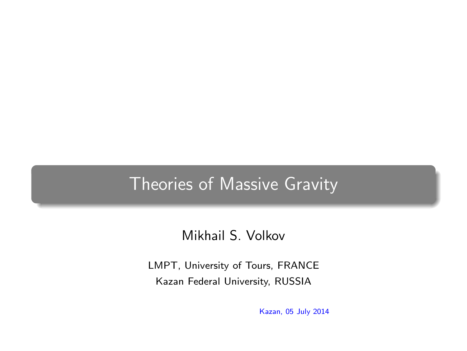#### Theories of Massive Gravity

#### Mikhail S. Volkov

<span id="page-0-0"></span>LMPT, University of Tours, FRANCE Kazan Federal University, RUSSIA

Kazan, 05 July 2014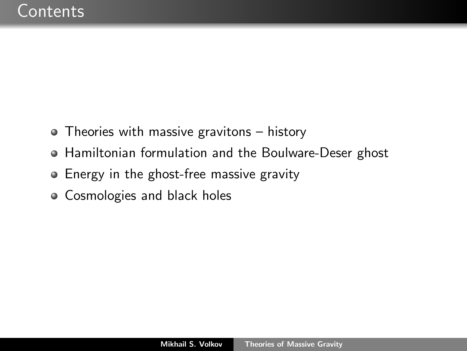- Theories with massive gravitons history
- Hamiltonian formulation and the Boulware-Deser ghost
- Energy in the ghost-free massive gravity
- Cosmologies and black holes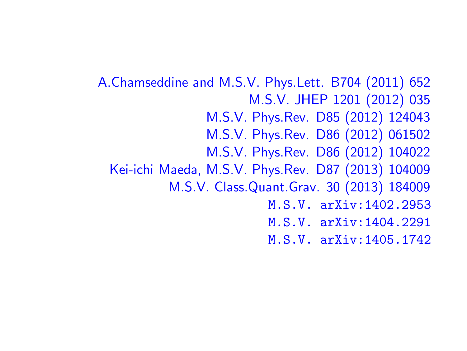A.Chamseddine and M.S.V. Phys.Lett. B704 (2011) 652 M.S.V. JHEP 1201 (2012) 035 M.S.V. Phys.Rev. D85 (2012) 124043 M.S.V. Phys.Rev. D86 (2012) 061502 M.S.V. Phys.Rev. D86 (2012) 104022 Kei-ichi Maeda, M.S.V. Phys.Rev. D87 (2013) 104009 M.S.V. Class.Quant.Grav. 30 (2013) 184009 M.S.V. arXiv:1402.2953 M.S.V. arXiv:1404.2291 M.S.V. arXiv:1405.1742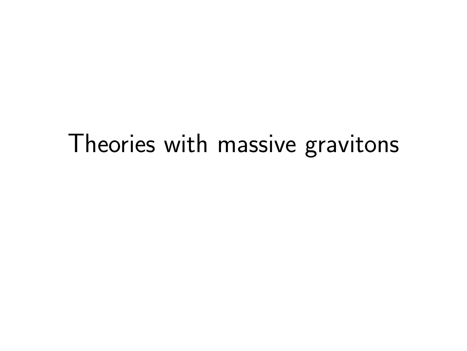# Theories with massive gravitons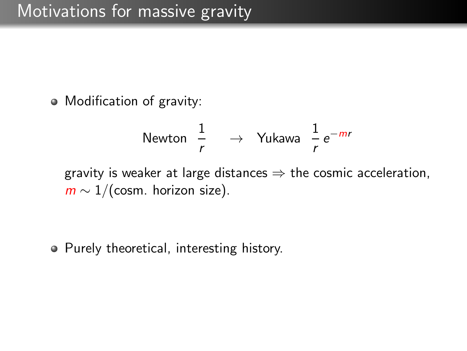Modification of gravity:

Newton 
$$
\frac{1}{r}
$$
  $\rightarrow$  Yukawa  $\frac{1}{r}e^{-mr}$ 

gravity is weaker at large distances  $\Rightarrow$  the cosmic acceleration,  $m \sim 1/(\text{cosm. horizon size}).$ 

• Purely theoretical, interesting history.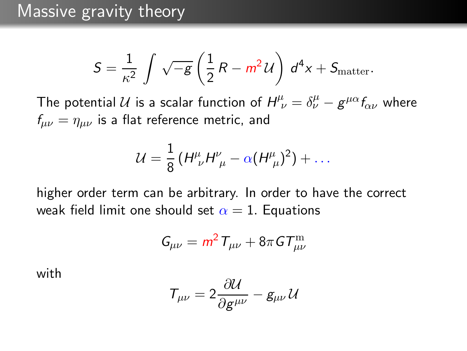$$
S = \frac{1}{\kappa^2} \int \sqrt{-g} \left( \frac{1}{2} R - m^2 U \right) d^4 x + S_{\text{matter}}.
$$

The potential U is a scalar function of  $H^{\mu}_{\ \nu} = \delta^{\mu}_{\nu} - g^{\mu\alpha} f_{\alpha\nu}$  where  $f_{\mu\nu} = \eta_{\mu\nu}$  is a flat reference metric, and

$$
\mathcal{U}=\frac{1}{8}\left(H^{\mu}_{\ \nu}H^{\nu}_{\ \mu}-\alpha(H^{\mu}_{\ \mu})^2\right)+\ldots
$$

higher order term can be arbitrary. In order to have the correct weak field limit one should set  $\alpha = 1$ . Equations

$$
G_{\mu\nu}=m^2\,T_{\mu\nu}+8\pi\,G T^{\rm m}_{\mu\nu}
$$

with

$$
\mathcal{T}_{\mu\nu}=2\frac{\partial \mathcal{U}}{\partial g^{\mu\nu}}-g_{\mu\nu}\,\mathcal{U}
$$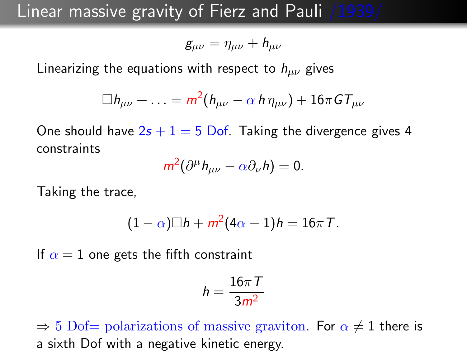#### Linear massive gravity of Fierz and Pauli /1939/

$$
g_{\mu\nu}=\eta_{\mu\nu}+h_{\mu\nu}
$$

Linearizing the equations with respect to  $h_{\mu\nu}$  gives

$$
\Box h_{\mu\nu} + \ldots = m^2(h_{\mu\nu} - \alpha \, h \, \eta_{\mu\nu}) + 16\pi \, GT_{\mu\nu}
$$

One should have  $2s + 1 = 5$  Dof. Taking the divergence gives 4 constraints

$$
m^2(\partial^\mu h_{\mu\nu}-\alpha\partial_\nu h)=0.
$$

Taking the trace,

$$
(1-\alpha)\Box h+m^2(4\alpha-1)h=16\pi T.
$$

If  $\alpha = 1$  one gets the fifth constraint

$$
h=\frac{16\pi\,T}{3m^2}
$$

 $\Rightarrow$  5 Dof= polarizations of massive graviton. For  $\alpha \neq 1$  there is a sixth Dof with a negative kinetic energy.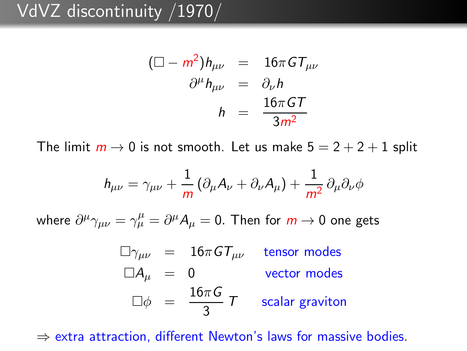## VdVZ discontinuity /1970/

$$
(\Box - m^2)h_{\mu\nu} = 16\pi G T_{\mu\nu}
$$

$$
\partial^{\mu}h_{\mu\nu} = \partial_{\nu}h
$$

$$
h = \frac{16\pi GT}{3m^2}
$$

The limit  $m \to 0$  is not smooth. Let us make  $5 = 2 + 2 + 1$  split

$$
h_{\mu\nu} = \gamma_{\mu\nu} + \frac{1}{m} \left( \partial_{\mu} A_{\nu} + \partial_{\nu} A_{\mu} \right) + \frac{1}{m^2} \partial_{\mu} \partial_{\nu} \phi
$$

where  $\partial^{\mu}\gamma_{\mu\nu}=\gamma^{\mu}_{\mu}=\partial^{\mu}A_{\mu}=0.$  Then for  $m\rightarrow 0$  one gets

 $\Box \gamma_{\mu\nu}$  = 16πGT<sub>μν</sub> tensor modes  $\Box A_{\mu} = 0$  vector modes  $\Box \phi = \frac{16\pi G}{2}$  $\frac{1}{3}$   $\overline{7}$  scalar graviton

 $\Rightarrow$  extra attraction, different Newton's laws for massive bodies.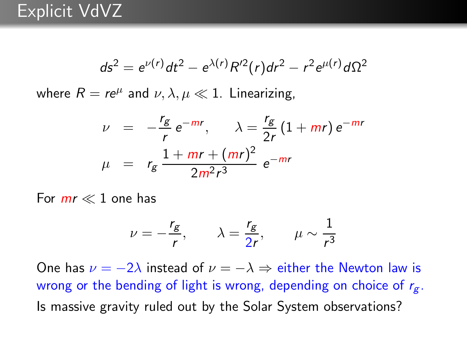$$
ds^{2} = e^{\nu(r)}dt^{2} - e^{\lambda(r)}R'^{2}(r)dr^{2} - r^{2}e^{\mu(r)}d\Omega^{2}
$$

where  $R = re^{\mu}$  and  $\nu, \lambda, \mu \ll 1$ . Linearizing,

$$
\nu = -\frac{r_g}{r} e^{-mr}, \qquad \lambda = \frac{r_g}{2r} (1 + mr) e^{-mr}
$$

$$
\mu = r_g \frac{1 + mr + (mr)^2}{2m^2 r^3} e^{-mr}
$$

For  $mr \ll 1$  one has

$$
\nu = -\frac{r_g}{r}, \qquad \lambda = \frac{r_g}{2r}, \qquad \mu \sim \frac{1}{r^3}
$$

One has  $\nu = -2\lambda$  instead of  $\nu = -\lambda \Rightarrow$  either the Newton law is wrong or the bending of light is wrong, depending on choice of  $r_g$ . Is massive gravity ruled out by the Solar System observations?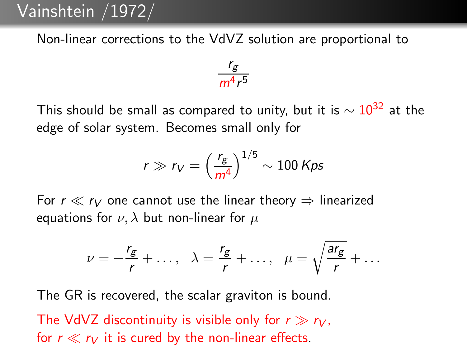#### Vainshtein /1972/

Non-linear corrections to the VdVZ solution are proportional to

$$
\frac{r_g}{m^4r^5}
$$

This should be small as compared to unity, but it is  $\sim 10^{32}$  at the edge of solar system. Becomes small only for

$$
r \gg r_V = \left(\frac{r_g}{m^4}\right)^{1/5} \sim 100 \text{ Kps}
$$

For  $r \ll r_V$  one cannot use the linear theory  $\Rightarrow$  linearized equations for  $\nu$ ,  $\lambda$  but non-linear for  $\mu$ 

$$
\nu=-\frac{r_g}{r}+\ldots, \quad \lambda=\frac{r_g}{r}+\ldots, \quad \mu=\sqrt{\frac{ar_g}{r}}+\ldots
$$

The GR is recovered, the scalar graviton is bound.

The VdVZ discontinuity is visible only for  $r \gg r_V$ , for  $r \ll r_V$  it is cured by the non-linear effects.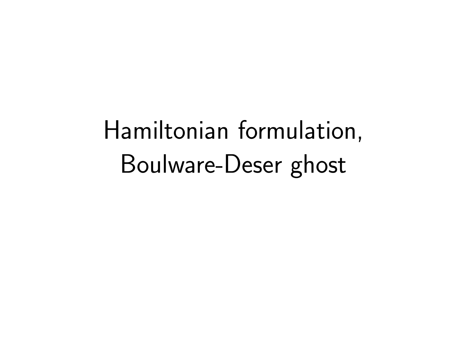Hamiltonian formulation, Boulware-Deser ghost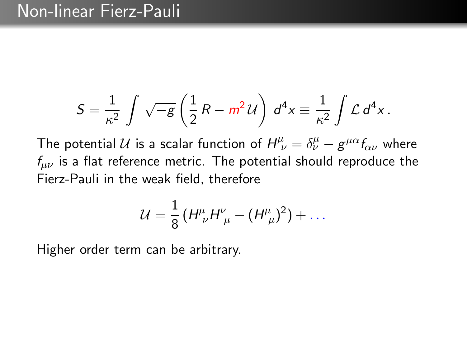#### Non-linear Fierz-Pauli

$$
S = \frac{1}{\kappa^2} \int \sqrt{-g} \left( \frac{1}{2} R - m^2 U \right) d^4 x \equiv \frac{1}{\kappa^2} \int \mathcal{L} d^4 x.
$$

The potential U is a scalar function of  $H^{\mu}_{\ \nu} = \delta^{\mu}_{\nu} - g^{\mu\alpha} f_{\alpha\nu}$  where  $f_{\mu\nu}$  is a flat reference metric. The potential should reproduce the Fierz-Pauli in the weak field, therefore

$$
\mathcal{U} = \frac{1}{8} \left( H^{\mu}_{\ \nu} H^{\nu}_{\ \mu} - (H^{\mu}_{\ \mu})^2 \right) + \dots
$$

Higher order term can be arbitrary.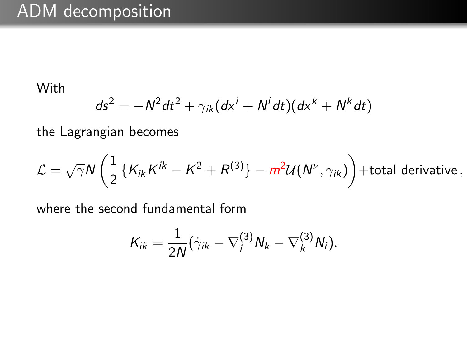## ADM decomposition

With

$$
ds^2 = -N^2 dt^2 + \gamma_{ik} (dx^i + N^i dt)(dx^k + N^k dt)
$$

the Lagrangian becomes

$$
\mathcal{L} = \sqrt{\gamma} N \left( \frac{1}{2} \left\{ K_{ik} K^{ik} - K^2 + R^{(3)} \right\} - m^2 \mathcal{U}(N^\nu, \gamma_{ik}) \right) + \text{total derivative} \,,
$$

where the second fundamental form

$$
K_{ik}=\frac{1}{2N}(\dot{\gamma}_{ik}-\nabla_i^{(3)}N_k-\nabla_k^{(3)}N_i).
$$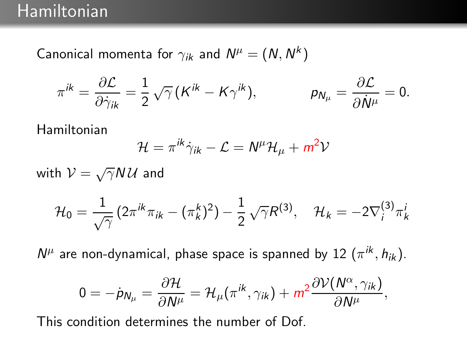Canonical momenta for  $\gamma_{ik}$  and  $\mathsf{N}^\mu=(\mathsf{N},\mathsf{N}^k)$ 

$$
\pi^{ik} = \frac{\partial \mathcal{L}}{\partial \dot{\gamma}_{ik}} = \frac{1}{2} \sqrt{\gamma} \left( K^{ik} - K \gamma^{ik} \right), \qquad \qquad p_{N\mu} = \frac{\partial \mathcal{L}}{\partial \dot{N}^{\mu}} = 0.
$$

Hamiltonian

$$
\mathcal{H} = \pi^{ik}\dot{\gamma}_{ik} - \mathcal{L} = N^{\mu}\mathcal{H}_{\mu} + m^2\mathcal{V}
$$

 $i^{(3)}\pi_k^i$ 

with  $\mathcal{V} = \sqrt{\gamma} N \mathcal{U}$  and  $\mathcal{H}_0 = \frac{1}{\sqrt{2}}$  $\frac{1}{\sqrt{\gamma}}\left(2\pi^{ik}\pi_{ik}-(\pi_{k}^{k})^{2}\right)-\frac{1}{2}% \sum_{k}\left(2\pi^{ik}\pi_{ik}-(\pi_{ik}^{k})^{2}\right) \label{eq:chi2}%$ 2  $\sqrt{\gamma}R^{(3)}, \quad \mathcal{H}_k = -2\nabla_i^{(3)}$ 

 $N^{\mu}$  are non-dynamical, phase space is spanned by 12  $(\pi^{ik}, h_{ik})$ .

$$
0=-\dot{p}_{N_{\mu}}=\frac{\partial \mathcal{H}}{\partial N^{\mu}}=\mathcal{H}_{\mu}(\pi^{ik},\gamma_{ik})+m^2\frac{\partial \mathcal{V}(N^{\alpha},\gamma_{ik})}{\partial N^{\mu}},
$$

This condition determines the number of Dof.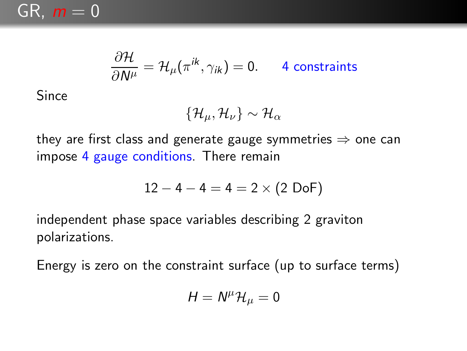

$$
\frac{\partial \mathcal{H}}{\partial N^{\mu}} = \mathcal{H}_{\mu}(\pi^{ik}, \gamma_{ik}) = 0.
$$
 4 constraints

Since

$$
\{\mathcal{H}_{\mu},\mathcal{H}_{\nu}\}\sim\mathcal{H}_{\alpha}
$$

they are first class and generate gauge symmetries  $\Rightarrow$  one can impose 4 gauge conditions. There remain

$$
12 - 4 - 4 = 4 = 2 \times (2 \text{ DoF})
$$

independent phase space variables describing 2 graviton polarizations.

Energy is zero on the constraint surface (up to surface terms)

$$
H=N^{\mu} \mathcal{H}_{\mu}=0
$$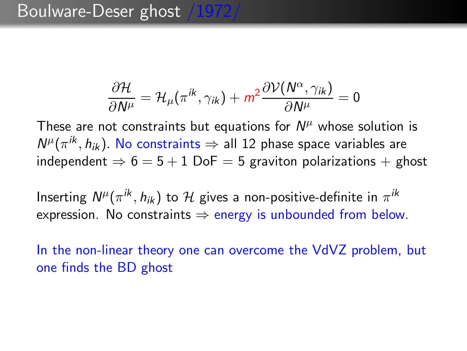#### Boulware-Deser ghost /1972

$$
\frac{\partial \mathcal{H}}{\partial N^{\mu}} = \mathcal{H}_{\mu}(\pi^{ik}, \gamma_{ik}) + m^2 \frac{\partial \mathcal{V}(N^{\alpha}, \gamma_{ik})}{\partial N^{\mu}} = 0
$$

These are not constraints but equations for  $N^{\mu}$  whose solution is  $N^{\mu}(\pi^{ik}, h_{ik})$ . No constraints  $\Rightarrow$  all 12 phase space variables are independent  $\Rightarrow$  6 = 5 + 1 DoF = 5 graviton polarizations + ghost

Inserting  $N^{\mu}(\pi^{ik}, h_{ik})$  to  ${\cal H}$  gives a non-positive-definite in  $\pi^{ik}$ expression. No constraints  $\Rightarrow$  energy is unbounded from below.

In the non-linear theory one can overcome the VdVZ problem, but one finds the BD ghost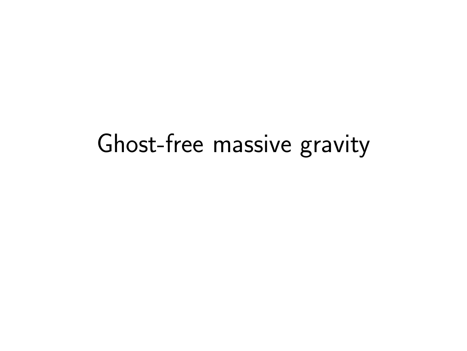## Ghost-free massive gravity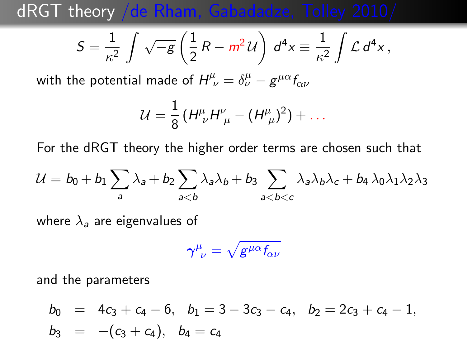dRGT theory /de Rham, Gabadadze, Tolley 2010/

$$
S = \frac{1}{\kappa^2} \int \sqrt{-g} \left( \frac{1}{2} R - m^2 \mathcal{U} \right) d^4 x \equiv \frac{1}{\kappa^2} \int \mathcal{L} d^4 x,
$$

with the potential made of  $H^{\mu}_{\ \nu} = \delta^{\mu}_{\nu} - g^{\mu\alpha} f_{\alpha\nu}$ 

$$
\mathcal{U} = \frac{1}{8} \left( H^{\mu}_{\ \nu} H^{\nu}_{\ \mu} - (H^{\mu}_{\ \mu})^2 \right) + \dots
$$

For the dRGT theory the higher order terms are chosen such that

$$
\mathcal{U} = b_0 + b_1 \sum_{a} \lambda_a + b_2 \sum_{a
$$

where  $\lambda_a$  are eigenvalues of

$$
\gamma^\mu_{\;\;\nu}=\sqrt{g^{\mu\alpha}f_{\!\alpha\nu}}
$$

and the parameters

$$
b_0 = 4c_3 + c_4 - 6, b_1 = 3 - 3c_3 - c_4, b_2 = 2c_3 + c_4 - 1,b_3 = -(c_3 + c_4), b_4 = c_4
$$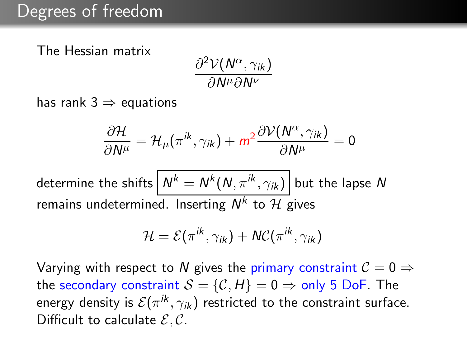The Hessian matrix

$$
\frac{\partial^2 \mathcal{V}(N^\alpha, \gamma_{ik})}{\partial N^\mu \partial N^\nu}
$$

has rank  $3 \Rightarrow$  equations

$$
\frac{\partial \mathcal{H}}{\partial N^{\mu}} = \mathcal{H}_{\mu}(\pi^{ik}, \gamma_{ik}) + m^2 \frac{\partial \mathcal{V}(N^{\alpha}, \gamma_{ik})}{\partial N^{\mu}} = 0
$$

determine the shifts  $\left\vert\right. N^{k}=N^{k}(N,\pi^{ik},\gamma_{ik})\right\vert$  but the lapse  $N$ remains undetermined. Inserting  $N^k$  to  ${\mathcal H}$  gives

$$
\mathcal{H} = \mathcal{E}(\pi^{ik}, \gamma_{ik}) + \mathcal{NC}(\pi^{ik}, \gamma_{ik})
$$

Varying with respect to N gives the primary constraint  $C = 0 \Rightarrow$ the secondary constraint  $S = \{C, H\} = 0 \Rightarrow$  only 5 DoF. The energy density is  $\mathcal{E}(\pi^{ik}, \gamma_{ik})$  restricted to the constraint surface. Difficult to calculate  $\mathcal{E}, \mathcal{C}$ .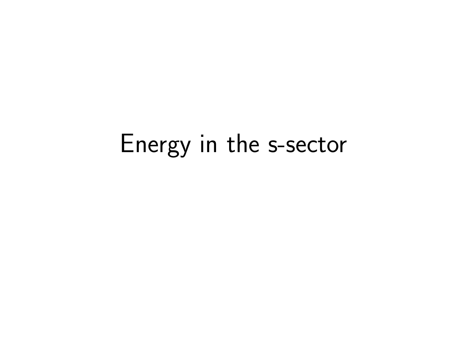# Energy in the s-sector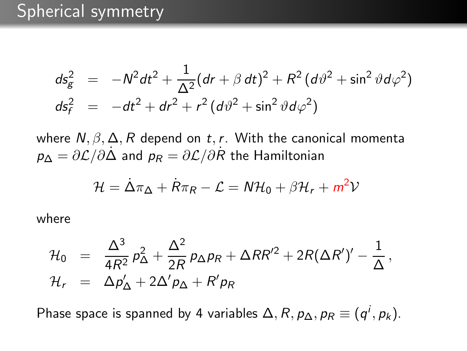$$
ds_g^2 = -N^2 dt^2 + \frac{1}{\Delta^2} (dr + \beta dt)^2 + R^2 (d\theta^2 + \sin^2 \theta d\varphi^2)
$$
  

$$
ds_f^2 = -dt^2 + dr^2 + r^2 (d\theta^2 + \sin^2 \theta d\varphi^2)
$$

where  $N, \beta, \Delta, R$  depend on t, r. With the canonical momenta  $p_{\Lambda} = \partial \mathcal{L}/\partial \dot{\Lambda}$  and  $p_R = \partial \mathcal{L}/\partial \dot{R}$  the Hamiltonian

$$
\mathcal{H} = \dot{\Delta}\pi_{\Delta} + \dot{R}\pi_{R} - \mathcal{L} = N\mathcal{H}_{0} + \beta\mathcal{H}_{r} + m^{2}\mathcal{V}
$$

where

$$
\mathcal{H}_0 = \frac{\Delta^3}{4R^2} p_\Delta^2 + \frac{\Delta^2}{2R} p_\Delta p_R + \Delta RR'^2 + 2R(\Delta R')' - \frac{1}{\Delta},
$$
  

$$
\mathcal{H}_r = \Delta p_\Delta' + 2\Delta' p_\Delta + R' p_R
$$

Phase space is spanned by 4 variables  $\Delta, R, p_{\Delta}, p_{R} \equiv (q^{i}, p_{k}).$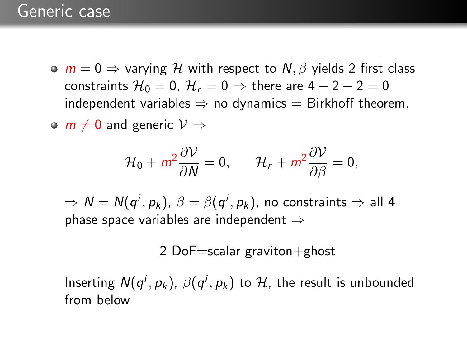$\bullet$   $m = 0 \Rightarrow$  varying H with respect to N,  $\beta$  yields 2 first class constraints  $\mathcal{H}_0 = 0$ ,  $\mathcal{H}_r = 0 \Rightarrow$  there are  $4 - 2 - 2 = 0$ independent variables  $\Rightarrow$  no dynamics  $=$  Birkhoff theorem.

 $\circ$  m  $\neq$  0 and generic  $\mathcal{V} \Rightarrow$ 

$$
\mathcal{H}_0 + m^2 \frac{\partial \mathcal{V}}{\partial N} = 0, \qquad \mathcal{H}_r + m^2 \frac{\partial \mathcal{V}}{\partial \beta} = 0,
$$

 $\Rightarrow N = N(q^i, p_k)$ ,  $\beta = \beta(q^i, p_k)$ , no constraints  $\Rightarrow$  all 4 phase space variables are independent  $\Rightarrow$ 

2 Do $F=$ scalar graviton $+$ ghost

Inserting  $N(q^i, p_k)$ ,  $\beta(q^i, p_k)$  to  $\mathcal{H}$ , the result is unbounded from below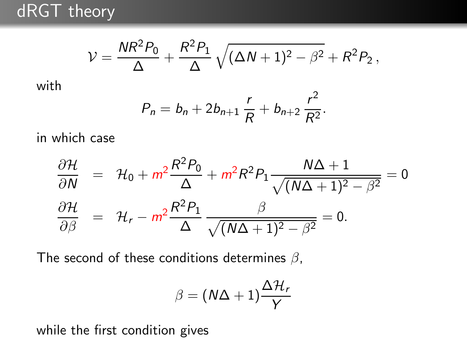dRGT theory

$$
V = \frac{NR^2P_0}{\Delta} + \frac{R^2P_1}{\Delta} \sqrt{(\Delta N + 1)^2 - \beta^2} + R^2P_2,
$$

with

$$
P_n = b_n + 2b_{n+1} \frac{r}{R} + b_{n+2} \frac{r^2}{R^2}.
$$

in which case

$$
\frac{\partial \mathcal{H}}{\partial N} = \mathcal{H}_0 + m^2 \frac{R^2 P_0}{\Delta} + m^2 R^2 P_1 \frac{N\Delta + 1}{\sqrt{(N\Delta + 1)^2 - \beta^2}} = 0
$$
  

$$
\frac{\partial \mathcal{H}}{\partial \beta} = \mathcal{H}_r - m^2 \frac{R^2 P_1}{\Delta} \frac{\beta}{\sqrt{(N\Delta + 1)^2 - \beta^2}} = 0.
$$

The second of these conditions determines  $\beta$ ,

$$
\beta = (N\Delta + 1)\frac{\Delta \mathcal{H}_r}{Y}
$$

while the first condition gives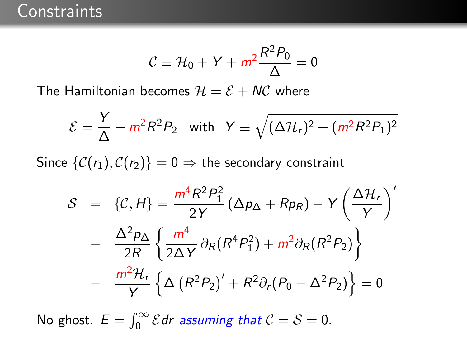$$
C \equiv \mathcal{H}_0 + Y + m^2 \frac{R^2 P_0}{\Delta} = 0
$$

The Hamiltonian becomes  $H = \mathcal{E} + N\mathcal{C}$  where

$$
\mathcal{E} = \frac{Y}{\Delta} + m^2 R^2 P_2 \quad \text{with} \quad Y \equiv \sqrt{(\Delta \mathcal{H}_r)^2 + (m^2 R^2 P_1)^2}
$$

Since  $\{C(r_1), C(r_2)\}=0 \Rightarrow$  the secondary constraint

$$
S = \{C, H\} = \frac{m^4 R^2 P_1^2}{2Y} (\Delta p_{\Delta} + R p_R) - Y \left(\frac{\Delta \mathcal{H}_r}{Y}\right)'
$$

$$
- \frac{\Delta^2 p_{\Delta}}{2R} \left\{ \frac{m^4}{2\Delta Y} \partial_R (R^4 P_1^2) + m^2 \partial_R (R^2 P_2) \right\}
$$

$$
- \frac{m^2 \mathcal{H}_r}{Y} \left\{ \Delta \left(R^2 P_2\right)' + R^2 \partial_r (P_0 - \Delta^2 P_2) \right\} = 0
$$

No ghost.  $E = \int_0^\infty \mathcal{E} dr$  assuming that  $\mathcal{C} = \mathcal{S} = 0$ .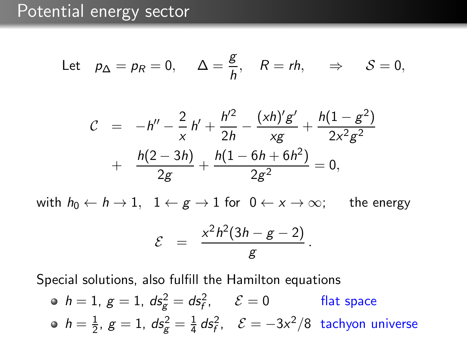Let 
$$
p_{\Delta} = p_R = 0
$$
,  $\Delta = \frac{g}{h}$ ,  $R = rh$ ,  $\Rightarrow$   $S = 0$ ,

$$
\mathcal{C} = -h'' - \frac{2}{x}h' + \frac{h'^2}{2h} - \frac{(xh)'g'}{xg} + \frac{h(1-g^2)}{2x^2g^2} + \frac{h(2-3h)}{2g} + \frac{h(1-6h+6h^2)}{2g^2} = 0,
$$

with  $h_0 \leftarrow h \rightarrow 1$ ,  $1 \leftarrow g \rightarrow 1$  for  $0 \leftarrow x \rightarrow \infty$ ; the energy

$$
\mathcal{E} = \frac{x^2h^2(3h-g-2)}{g}.
$$

Special solutions, also fulfill the Hamilton equations

\n- • 
$$
h = 1
$$
,  $g = 1$ ,  $ds_g^2 = ds_f^2$ ,  $\mathcal{E} = 0$  flat space
\n- •  $h = \frac{1}{2}$ ,  $g = 1$ ,  $ds_g^2 = \frac{1}{4} ds_f^2$ ,  $\mathcal{E} = -3x^2/8$  tachyon universe
\n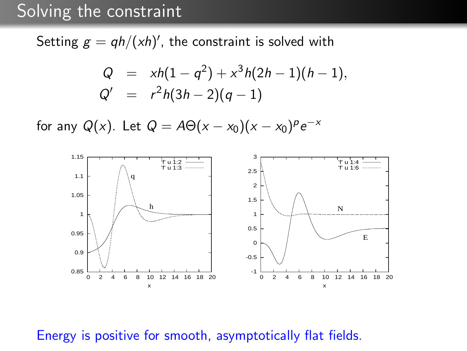#### Solving the constraint

Setting  $g = q h/(x h)'$ , the constraint is solved with

$$
Q = xh(1 - q^2) + x^3h(2h - 1)(h - 1),
$$
  
\n
$$
Q' = r^2h(3h - 2)(q - 1)
$$

for any  $Q(x)$ . Let  $Q = A\Theta(x - x_0)(x - x_0)^p e^{-x}$ 



#### Energy is positive for smooth, asymptotically flat fields.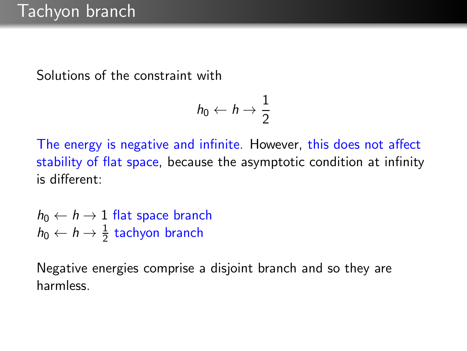Solutions of the constraint with

$$
h_0 \leftarrow h \rightarrow \frac{1}{2}
$$

The energy is negative and infinite. However, this does not affect stability of flat space, because the asymptotic condition at infinity is different:

 $h_0 \leftarrow h \rightarrow 1$  flat space branch  $h_0 \leftarrow h \rightarrow \frac{1}{2}$  tachyon branch

Negative energies comprise a disjoint branch and so they are harmless.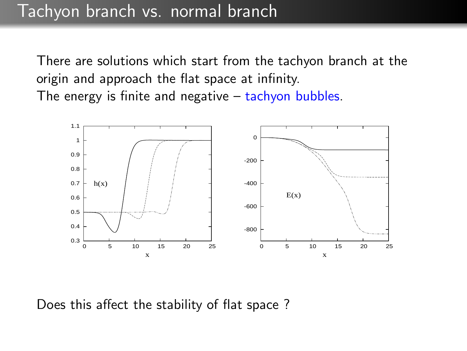There are solutions which start from the tachyon branch at the origin and approach the flat space at infinity. The energy is finite and negative – tachyon bubbles.



Does this affect the stability of flat space ?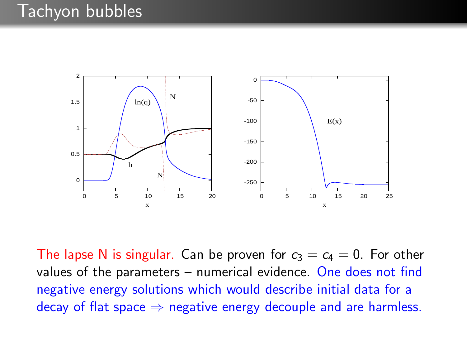

The lapse N is singular. Can be proven for  $c_3 = c_4 = 0$ . For other values of the parameters – numerical evidence. One does not find negative energy solutions which would describe initial data for a decay of flat space  $\Rightarrow$  negative energy decouple and are harmless.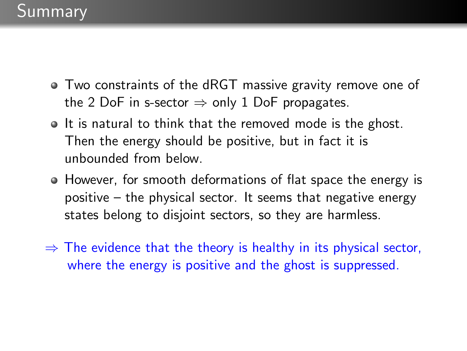- Two constraints of the dRGT massive gravity remove one of the 2 DoF in s-sector  $\Rightarrow$  only 1 DoF propagates.
- If is natural to think that the removed mode is the ghost. Then the energy should be positive, but in fact it is unbounded from below.
- However, for smooth deformations of flat space the energy is positive – the physical sector. It seems that negative energy states belong to disjoint sectors, so they are harmless.
- $\Rightarrow$  The evidence that the theory is healthy in its physical sector, where the energy is positive and the ghost is suppressed.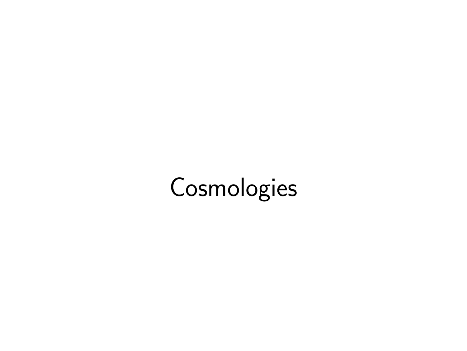# **Cosmologies**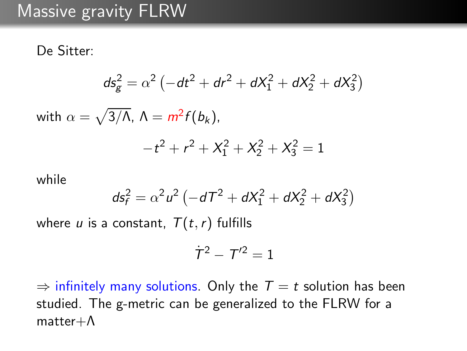#### Massive gravity FLRW

De Sitter:

$$
ds_g^2 = \alpha^2 \left( -dt^2 + dr^2 + dX_1^2 + dX_2^2 + dX_3^2 \right)
$$

with  $\alpha=\sqrt{3/\Lambda}$ ,  $\Lambda=m^2f(b_k)$ ,

$$
-t^2 + r^2 + X_1^2 + X_2^2 + X_3^2 = 1
$$

while

$$
ds_f^2 = \alpha^2 u^2 \left( -dT^2 + dX_1^2 + dX_2^2 + dX_3^2 \right)
$$

where u is a constant,  $T(t, r)$  fulfills

$$
\dot{T}^2 - T'^2 = 1
$$

 $\Rightarrow$  infinitely many solutions. Only the  $T = t$  solution has been studied. The g-metric can be generalized to the FLRW for a matter+Λ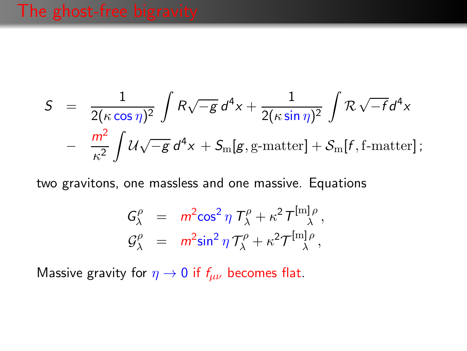$$
S = \frac{1}{2(\kappa \cos \eta)^2} \int R\sqrt{-g} d^4x + \frac{1}{2(\kappa \sin \eta)^2} \int R\sqrt{-f} d^4x
$$

$$
- \frac{m^2}{\kappa^2} \int \mathcal{U}\sqrt{-g} d^4x + S_m[g, g-matter] + S_m[f, f-matter];
$$

two gravitons, one massless and one massive. Equations

$$
G_{\lambda}^{\rho} = m^2 \cos^2 \eta \, T_{\lambda}^{\rho} + \kappa^2 T_{\lambda}^{[m] \rho},
$$
  

$$
G_{\lambda}^{\rho} = m^2 \sin^2 \eta \, T_{\lambda}^{\rho} + \kappa^2 T_{\lambda}^{[m] \rho},
$$

Massive gravity for  $\eta \to 0$  if  $f_{\mu\nu}$  becomes flat.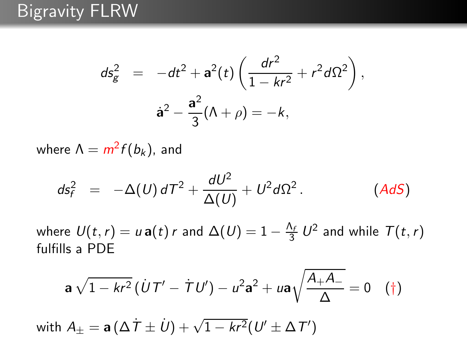#### Bigravity FLRW

$$
ds_g^2 = -dt^2 + \mathbf{a}^2(t) \left( \frac{dr^2}{1 - kr^2} + r^2 d\Omega^2 \right),
$$
  

$$
\mathbf{a}^2 - \frac{\mathbf{a}^2}{3} (\Lambda + \rho) = -k,
$$

where  $\Lambda = m^2 f(b_k)$ , and

$$
ds_f^2 = -\Delta(U) dT^2 + \frac{dU^2}{\Delta(U)} + U^2 d\Omega^2.
$$
 (AdS)

where  $U(t,r) = u \, \mathbf{a}(t) \, r$  and  $\Delta(U) = 1 - \frac{\Lambda_f}{3} \, U^2$  and while  $\mathcal{T}(t,r)$ fulfills a PDE

$$
\mathbf{a}\,\sqrt{1-kr^2}\,(\,\dot{U}\,T'-\,\dot{T}\,U')-u^2\mathbf{a}^2+u\mathbf{a}\sqrt{\frac{A_+A_-}{\Delta}}=0\quad (\dagger)
$$

with  $A_{\pm} = \mathbf{a} \left( \Delta \dot{T} \pm \dot{U} \right) + \sqrt{1 - kr^2} (U' \pm \Delta T')$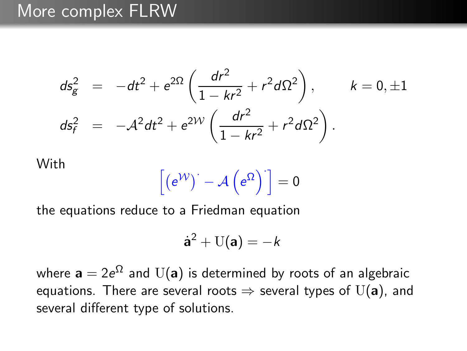#### More complex FLRW

$$
ds_g^2 = -dt^2 + e^{2\Omega} \left( \frac{dr^2}{1 - kr^2} + r^2 d\Omega^2 \right), \qquad k = 0, \pm 1
$$
  

$$
ds_f^2 = -A^2 dt^2 + e^{2\mathcal{W}} \left( \frac{dr^2}{1 - kr^2} + r^2 d\Omega^2 \right).
$$

#### **With**

$$
\left[\left(e^{\mathcal{W}}\right)^{\cdot}-\mathcal{A}\left(e^{\Omega}\right)^{\cdot}\right]=0
$$

the equations reduce to a Friedman equation

$$
\dot{\mathbf{a}}^2 + U(\mathbf{a}) = -k
$$

where  $\mathbf{a}=2e^{\Omega}$  and  $\mathrm{U}(\mathbf{a})$  is determined by roots of an algebraic equations. There are several roots  $\Rightarrow$  several types of U(a), and several different type of solutions.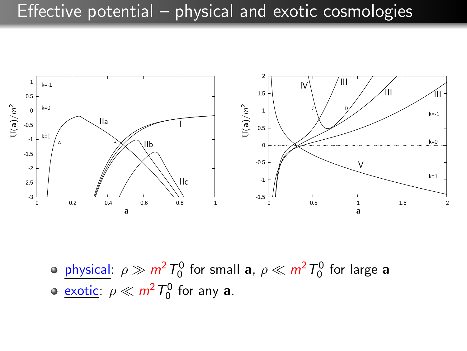#### Effective potential – physical and exotic cosmologies



 $\frac{\text{physical:}}{\rho \gg m^2} T_0^0$  for small **a**,  $\rho \ll m^2 T_0^0$  for large **a** <u>exotic</u>:  $\rho \ll m^2 T_0^0$  for any **a**.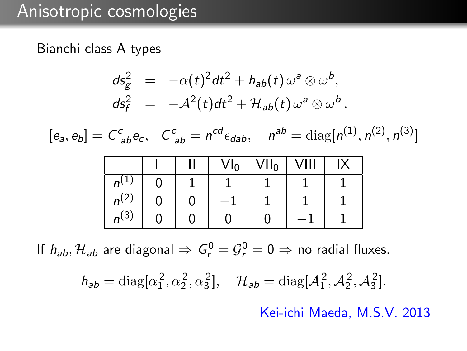#### Anisotropic cosmologies

#### Bianchi class A types



If  $h_{ab}$ ,  $\mathcal{H}_{ab}$  are diagonal  $\Rightarrow G_r^0 = G_r^0 = 0 \Rightarrow$  no radial fluxes.

 $h_{ab} = \text{diag}[\alpha_1^2, \alpha_2^2, \alpha_3^2], \quad \mathcal{H}_{ab} = \text{diag}[\mathcal{A}_1^2, \mathcal{A}_2^2, \mathcal{A}_3^2].$ 

Kei-ichi Maeda, M.S.V. 2013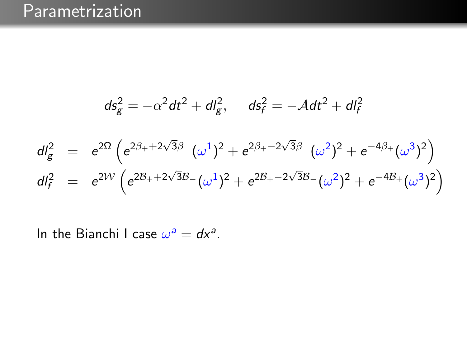## **Parametrization**

$$
ds_g^2 = -\alpha^2 dt^2 + dl_g^2, \quad ds_f^2 = -\mathcal{A} dt^2 + dl_f^2
$$
  
\n
$$
dl_g^2 = e^{2\Omega} \left( e^{2\beta_+ + 2\sqrt{3}\beta_-} (\omega^1)^2 + e^{2\beta_+ - 2\sqrt{3}\beta_-} (\omega^2)^2 + e^{-4\beta_+} (\omega^3)^2 \right)
$$
  
\n
$$
dl_f^2 = e^{2\mathcal{W}} \left( e^{2\beta_+ + 2\sqrt{3}\beta_-} (\omega^1)^2 + e^{2\beta_+ - 2\sqrt{3}\beta_-} (\omega^2)^2 + e^{-4\beta_+} (\omega^3)^2 \right)
$$

In the Bianchi I case  $\omega^a = dx^a$ .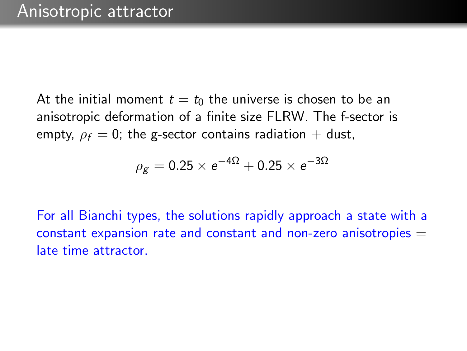At the initial moment  $t = t_0$  the universe is chosen to be an anisotropic deformation of a finite size FLRW. The f-sector is empty,  $\rho_f = 0$ ; the g-sector contains radiation + dust,

$$
\rho_{\rm g} = 0.25 \times e^{-4\Omega} + 0.25 \times e^{-3\Omega}
$$

For all Bianchi types, the solutions rapidly approach a state with a constant expansion rate and constant and non-zero anisotropies  $=$ late time attractor.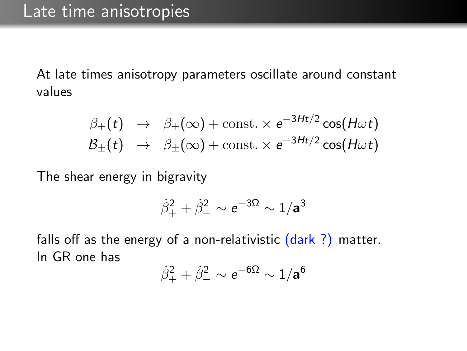At late times anisotropy parameters oscillate around constant values

$$
\beta_{\pm}(t) \rightarrow \beta_{\pm}(\infty) + \text{const.} \times e^{-3Ht/2} \cos(H\omega t) \n\beta_{\pm}(t) \rightarrow \beta_{\pm}(\infty) + \text{const.} \times e^{-3Ht/2} \cos(H\omega t)
$$

The shear energy in bigravity

$$
\dot{\beta}_+^2 + \dot{\beta}_-^2 \sim e^{-3\Omega} \sim 1/a^3
$$

falls off as the energy of a non-relativistic  $(dark ?)$  matter. In GR one has

$$
\dot{\beta}_+^2 + \dot{\beta}_-^2 \sim e^{-6\Omega} \sim 1/a^6
$$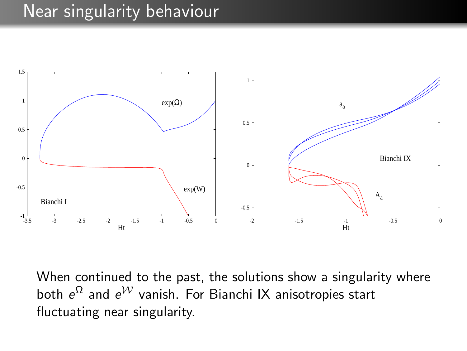#### Near singularity behaviour



When continued to the past, the solutions show a singularity where both  $e^{\Omega}$  and  $e^{\mathcal{W}}$  vanish. For Bianchi IX anisotropies start fluctuating near singularity.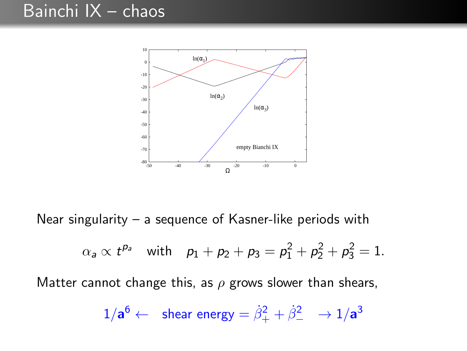### Bainchi IX – chaos



Near singularity – a sequence of Kasner-like periods with

$$
\alpha_a \propto t^{p_a}
$$
 with  $p_1 + p_2 + p_3 = p_1^2 + p_2^2 + p_3^2 = 1$ .

Matter cannot change this, as  $\rho$  grows slower than shears,

$$
1/a^6 \leftarrow \text{ shear energy} = \dot{\beta}_+^2 + \dot{\beta}_-^2 \rightarrow 1/a^3
$$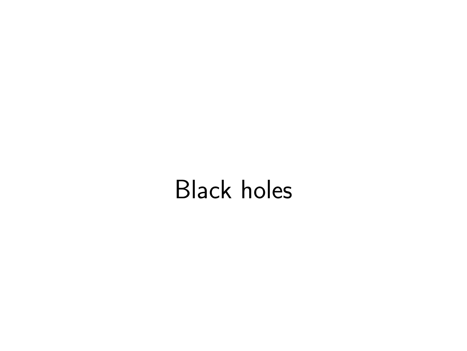# Black holes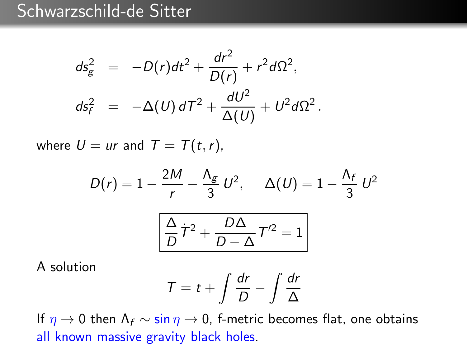## Schwarzschild-de Sitter

$$
ds_g^2 = -D(r)dt^2 + \frac{dr^2}{D(r)} + r^2d\Omega^2,
$$
  

$$
ds_f^2 = -\Delta(U)dT^2 + \frac{dU^2}{\Delta(U)} + U^2d\Omega^2.
$$

where  $U = ur$  and  $T = T(t, r)$ ,

$$
D(r) = 1 - \frac{2M}{r} - \frac{\Lambda_g}{3} U^2, \quad \Delta(U) = 1 - \frac{\Lambda_f}{3} U^2
$$

$$
\boxed{\frac{\Delta}{D} \dot{T}^2 + \frac{D\Delta}{D - \Delta} T'^2 = 1}
$$

A solution

$$
T = t + \int \frac{dr}{D} - \int \frac{dr}{\Delta}
$$

If  $\eta \to 0$  then  $\Lambda_f \sim \sin \eta \to 0$ , f-metric becomes flat, one obtains all known massive gravity black holes.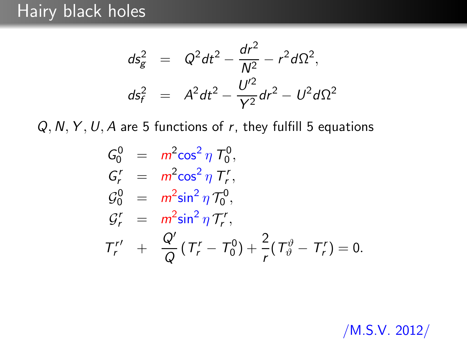$$
ds_g^2 = Q^2 dt^2 - \frac{dr^2}{N^2} - r^2 d\Omega^2,
$$
  

$$
ds_f^2 = A^2 dt^2 - \frac{U'^2}{Y^2} dr^2 - U^2 d\Omega^2
$$

 $Q, N, Y, U, A$  are 5 functions of r, they fulfill 5 equations

$$
G_0^0 = m^2 \cos^2 \eta T_0^0,
$$
  
\n
$$
G_r^r = m^2 \cos^2 \eta T_r^r,
$$
  
\n
$$
G_0^0 = m^2 \sin^2 \eta T_0^0,
$$
  
\n
$$
G_r^r = m^2 \sin^2 \eta T_r^r,
$$
  
\n
$$
T_r^r + \frac{Q'}{Q} (T_r^r - T_0^0) + \frac{2}{r} (T_\vartheta^{\vartheta} - T_r^r) = 0.
$$

/M.S.V. 2012/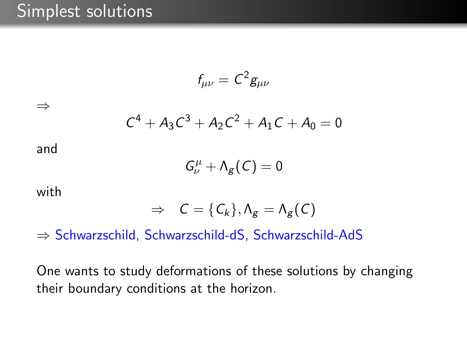#### Simplest solutions

$$
f_{\mu\nu} = C^2 g_{\mu\nu}
$$

⇒

$$
C^4 + A_3C^3 + A_2C^2 + A_1C + A_0 = 0
$$

and

$$
G^{\mu}_{\nu}+\Lambda_g(C)=0
$$

with

$$
\Rightarrow C = \{C_k\}, \Lambda_g = \Lambda_g(C)
$$

⇒ Schwarzschild, Schwarzschild-dS, Schwarzschild-AdS

One wants to study deformations of these solutions by changing their boundary conditions at the horizon.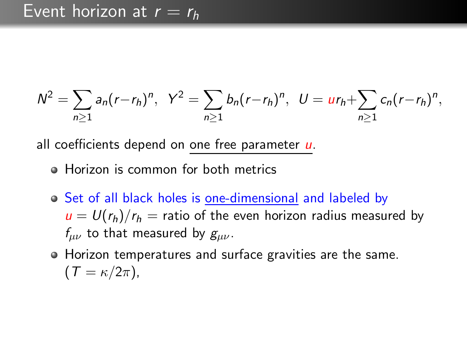$$
N^2 = \sum_{n\geq 1} a_n (r - r_h)^n, \ \ Y^2 = \sum_{n\geq 1} b_n (r - r_h)^n, \ \ U = u r_h + \sum_{n\geq 1} c_n (r - r_h)^n,
$$

all coefficients depend on one free parameter u.

- Horizon is common for both metrics
- Set of all black holes is one-dimensional and labeled by  $u = U(r_h)/r_h$  = ratio of the even horizon radius measured by  $f_{\mu\nu}$  to that measured by  $g_{\mu\nu}$ .
- Horizon temperatures and surface gravities are the same.  $(T = \kappa/2\pi)$ ,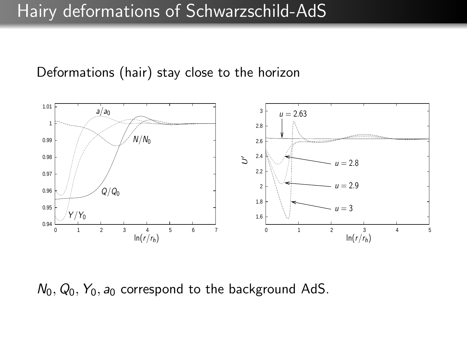#### Hairy deformations of Schwarzschild-AdS

Deformations (hair) stay close to the horizon



 $N_0$ ,  $Q_0$ ,  $Y_0$ ,  $a_0$  correspond to the background AdS.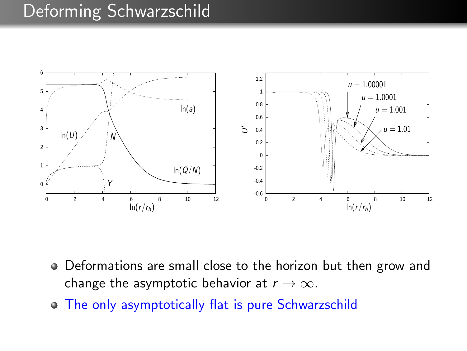#### Deforming Schwarzschild



- Deformations are small close to the horizon but then grow and change the asymptotic behavior at  $r \to \infty$ .
- The only asymptotically flat is pure Schwarzschild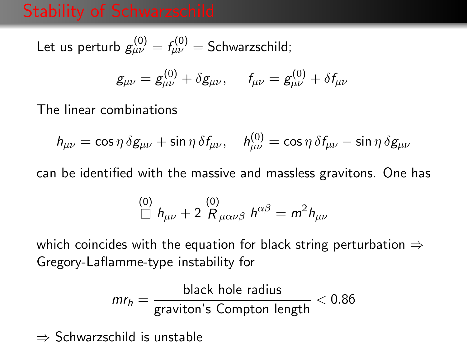### Stability of Schwarzschild

Let us perturb  $g^{(0)}_{\mu\nu}=f^{(0)}_{\mu\nu}=$  Schwarzschild;

$$
g_{\mu\nu} = g_{\mu\nu}^{(0)} + \delta g_{\mu\nu}, \quad f_{\mu\nu} = g_{\mu\nu}^{(0)} + \delta f_{\mu\nu}
$$

The linear combinations

$$
h_{\mu\nu}=\cos\eta\,\delta g_{\mu\nu}+\sin\eta\,\delta f_{\mu\nu},\quad h^{(0)}_{\mu\nu}=\cos\eta\,\delta f_{\mu\nu}-\sin\eta\,\delta g_{\mu\nu}
$$

can be identified with the massive and massless gravitons. One has

$$
\stackrel{(0)}{\Box} h_{\mu\nu} + 2 \stackrel{(0)}{R}_{\mu\alpha\nu\beta} h^{\alpha\beta} = m^2 h_{\mu\nu}
$$

which coincides with the equation for black string perturbation  $\Rightarrow$ Gregory-Laflamme-type instability for

$$
mr_h = \frac{\text{black hole radius}}{\text{graviton's Compton length}} < 0.86
$$

⇒ Schwarzschild is unstable